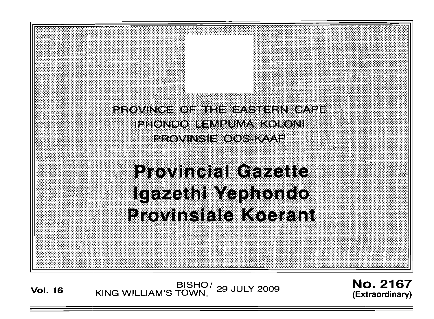

**Vol. <sup>16</sup>** BISHO/ KING WILLIAM'S TOWN , 29 JULY 2009

No. 2167 **(Extraordinary)**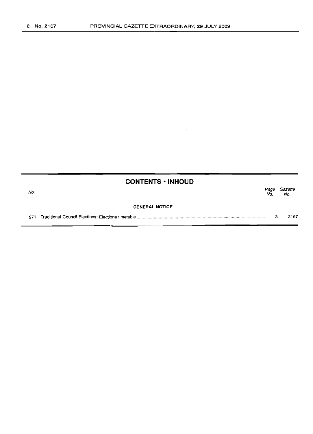|     | <b>CONTENTS • INHOUD</b> |             |                |
|-----|--------------------------|-------------|----------------|
| No. |                          | Page<br>No. | Gazette<br>No. |
|     | <b>GENERAL NOTICE</b>    |             |                |
| 271 |                          | з           | 2167           |

 $\cdot$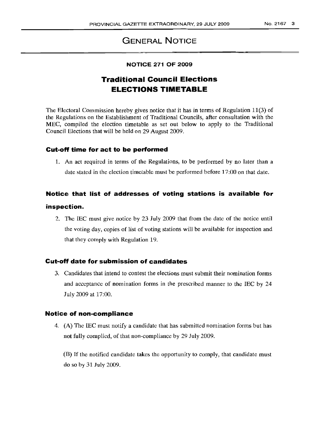# **GENERAL NOTICE**

#### **NOTICE 271 OF 2009**

# **Traditional Council Elections ELECTIONS TIMETABLE**

The Electoral Commission hereby gives notice that it has in terms of Regulation 11(3) of the Regulations on the Establishment of Traditional Councils, after consultation with the MEC, compiled the election timetable as set out below to apply to the Traditional Council Elections that will be held on 29 August 2009.

#### **Cut-off time for act to be performed**

1. An act required in terms of the Regulations, to be performed by no later than a date stated in the election timetable must be performed before 17:00 on that date.

# **Notice that list of addresses of voting stations is available for**

## **inspection.**

2. The IEC must give notice by 23 July 2009 that from the date of the notice until the voting day, copies of list of voting stations will be available for inspection and that they comply with Regulation 19.

#### **Cut-off date for submission of candidates**

3. Candidates that intend to contest the elections must submit their nomination forms and acceptance of nomination forms in the prescribed manner to the IEC by 24 July 2009 at 17:00.

#### **Notice! of non-compliance**

4. (A) The IEC must notify a candidate that has submitted nomination forms but has not fully complied, of that non-compliance by 29 July 2009.

(B) If the notified candidate takes the opportunity to comply, that candidate must do so by 31 July 2009.